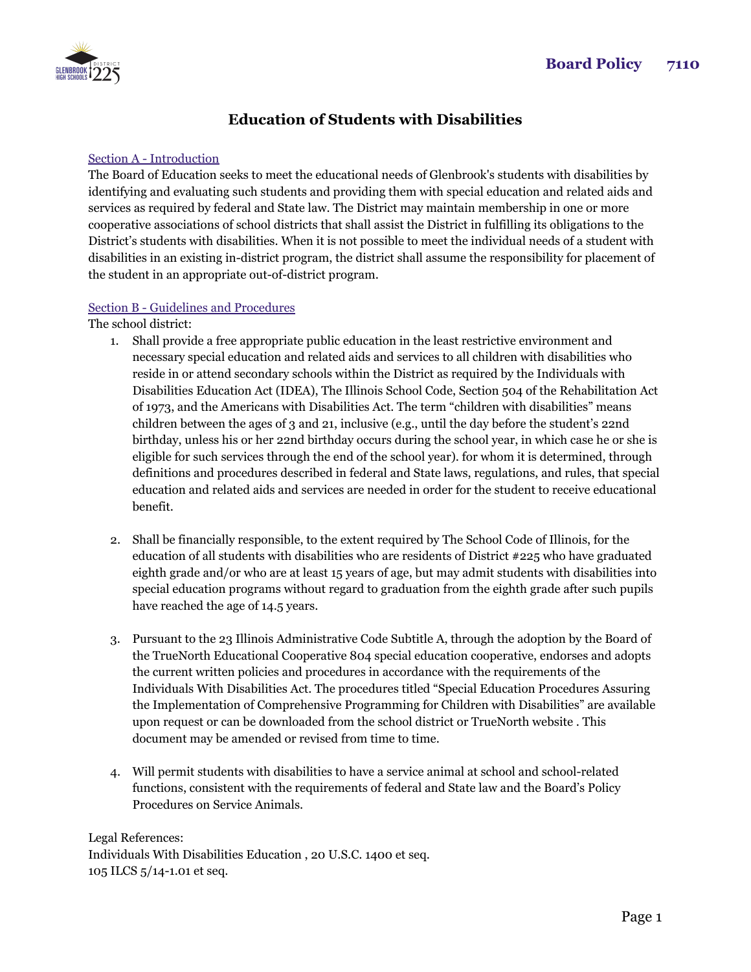

## **Education of Students with Disabilities**

## Section A - Introduction

The Board of Education seeks to meet the educational needs of Glenbrook's students with disabilities by identifying and evaluating such students and providing them with special education and related aids and services as required by federal and State law. The District may maintain membership in one or more cooperative associations of school districts that shall assist the District in fulfilling its obligations to the District's students with disabilities. When it is not possible to meet the individual needs of a student with disabilities in an existing in-district program, the district shall assume the responsibility for placement of the student in an appropriate out-of-district program.

## Section B - Guidelines and Procedures

The school district:

- 1. Shall provide a free appropriate public education in the least restrictive environment and necessary special education and related aids and services to all children with disabilities who reside in or attend secondary schools within the District as required by the Individuals with Disabilities Education Act (IDEA), The Illinois School Code, Section 504 of the Rehabilitation Act of 1973, and the Americans with Disabilities Act. The term "children with disabilities" means children between the ages of 3 and 21, inclusive (e.g., until the day before the student's 22nd birthday, unless his or her 22nd birthday occurs during the school year, in which case he or she is eligible for such services through the end of the school year). for whom it is determined, through definitions and procedures described in federal and State laws, regulations, and rules, that special education and related aids and services are needed in order for the student to receive educational benefit.
- 2. Shall be financially responsible, to the extent required by The School Code of Illinois, for the education of all students with disabilities who are residents of District #225 who have graduated eighth grade and/or who are at least 15 years of age, but may admit students with disabilities into special education programs without regard to graduation from the eighth grade after such pupils have reached the age of 14.5 years.
- 3. Pursuant to the 23 Illinois Administrative Code Subtitle A, through the adoption by the Board of the TrueNorth Educational Cooperative 804 special education cooperative, endorses and adopts the current written policies and procedures in accordance with the requirements of the Individuals With Disabilities Act. The procedures titled "Special Education Procedures Assuring the Implementation of Comprehensive Programming for Children with Disabilities" are available upon request or can be downloaded from the school district or TrueNorth website . This document may be amended or revised from time to time.
- 4. Will permit students with disabilities to have a service animal at school and school-related functions, consistent with the requirements of federal and State law and the Board's Policy Procedures on Service Animals.

Legal References: Individuals With Disabilities Education , 20 U.S.C. 1400 et seq. 105 ILCS 5/14-1.01 et seq.